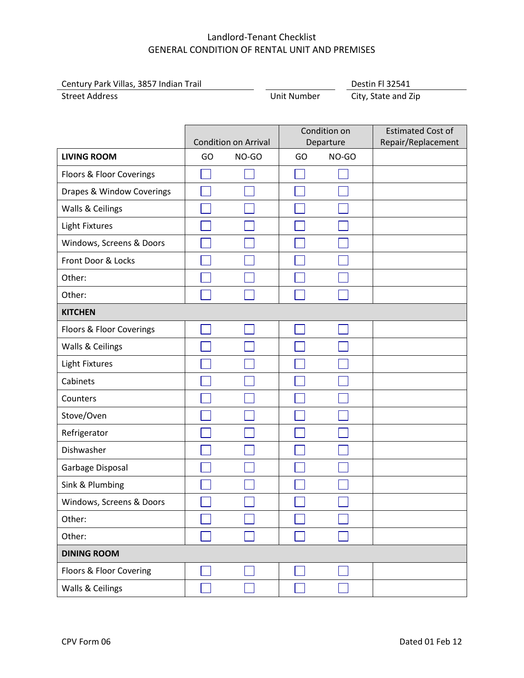| Century Park Villas, 3857 Indian Trail |             | <b>Destin FL32541</b> |  |
|----------------------------------------|-------------|-----------------------|--|
| <b>Street Address</b>                  | Unit Number | City, State and Zip   |  |

|                           | Condition on                |       |           | <b>Estimated Cost of</b> |                    |  |
|---------------------------|-----------------------------|-------|-----------|--------------------------|--------------------|--|
|                           | <b>Condition on Arrival</b> |       | Departure |                          | Repair/Replacement |  |
| <b>LIVING ROOM</b>        | GO                          | NO-GO | GO        | NO-GO                    |                    |  |
| Floors & Floor Coverings  |                             |       |           |                          |                    |  |
| Drapes & Window Coverings |                             |       |           |                          |                    |  |
| Walls & Ceilings          |                             |       |           |                          |                    |  |
| <b>Light Fixtures</b>     |                             |       |           |                          |                    |  |
| Windows, Screens & Doors  |                             |       |           |                          |                    |  |
| Front Door & Locks        |                             |       |           |                          |                    |  |
| Other:                    |                             |       |           |                          |                    |  |
| Other:                    |                             |       |           |                          |                    |  |
| <b>KITCHEN</b>            |                             |       |           |                          |                    |  |
| Floors & Floor Coverings  |                             |       |           |                          |                    |  |
| Walls & Ceilings          |                             |       |           |                          |                    |  |
| <b>Light Fixtures</b>     |                             |       |           |                          |                    |  |
| Cabinets                  |                             |       |           |                          |                    |  |
| Counters                  |                             |       |           |                          |                    |  |
| Stove/Oven                |                             |       |           |                          |                    |  |
| Refrigerator              |                             |       |           |                          |                    |  |
| Dishwasher                |                             |       |           |                          |                    |  |
| Garbage Disposal          |                             |       |           |                          |                    |  |
| Sink & Plumbing           |                             |       |           |                          |                    |  |
| Windows, Screens & Doors  |                             |       |           |                          |                    |  |
| Other:                    |                             |       |           |                          |                    |  |
| Other:                    |                             |       |           |                          |                    |  |
| <b>DINING ROOM</b>        |                             |       |           |                          |                    |  |
| Floors & Floor Covering   |                             |       |           |                          |                    |  |
| Walls & Ceilings          |                             |       |           |                          |                    |  |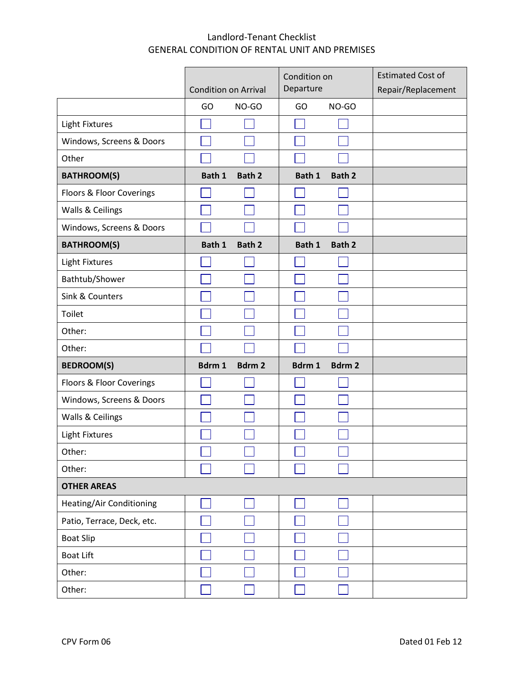|                            |        |                                          | Condition on |              | <b>Estimated Cost of</b> |
|----------------------------|--------|------------------------------------------|--------------|--------------|--------------------------|
|                            |        | Departure<br><b>Condition on Arrival</b> |              |              | Repair/Replacement       |
|                            | GO     | NO-GO                                    | GO           | NO-GO        |                          |
| <b>Light Fixtures</b>      |        |                                          |              |              |                          |
| Windows, Screens & Doors   |        |                                          |              |              |                          |
| Other                      |        |                                          |              |              |                          |
| <b>BATHROOM(S)</b>         | Bath 1 | <b>Bath 2</b>                            | Bath 1       | Bath 2       |                          |
| Floors & Floor Coverings   |        |                                          |              |              |                          |
| Walls & Ceilings           |        |                                          |              |              |                          |
| Windows, Screens & Doors   |        |                                          |              |              |                          |
| <b>BATHROOM(S)</b>         | Bath 1 | <b>Bath 2</b>                            | Bath 1       | Bath 2       |                          |
| <b>Light Fixtures</b>      |        |                                          |              |              |                          |
| Bathtub/Shower             |        |                                          |              |              |                          |
| Sink & Counters            |        |                                          |              |              |                          |
| Toilet                     |        |                                          |              |              |                          |
| Other:                     |        |                                          |              |              |                          |
| Other:                     |        |                                          |              |              |                          |
| <b>BEDROOM(S)</b>          | Bdrm 1 | Bdrm <sub>2</sub>                        | Bdrm 1       | <b>Bdrm2</b> |                          |
| Floors & Floor Coverings   |        |                                          |              |              |                          |
| Windows, Screens & Doors   |        |                                          |              |              |                          |
| Walls & Ceilings           |        |                                          |              |              |                          |
| <b>Light Fixtures</b>      |        |                                          |              |              |                          |
| Other:                     |        |                                          |              |              |                          |
| Other:                     |        |                                          |              |              |                          |
| <b>OTHER AREAS</b>         |        |                                          |              |              |                          |
| Heating/Air Conditioning   |        |                                          |              |              |                          |
| Patio, Terrace, Deck, etc. |        |                                          |              |              |                          |
| <b>Boat Slip</b>           |        |                                          |              |              |                          |
| <b>Boat Lift</b>           |        |                                          |              |              |                          |
| Other:                     |        |                                          |              |              |                          |
| Other:                     |        |                                          |              |              |                          |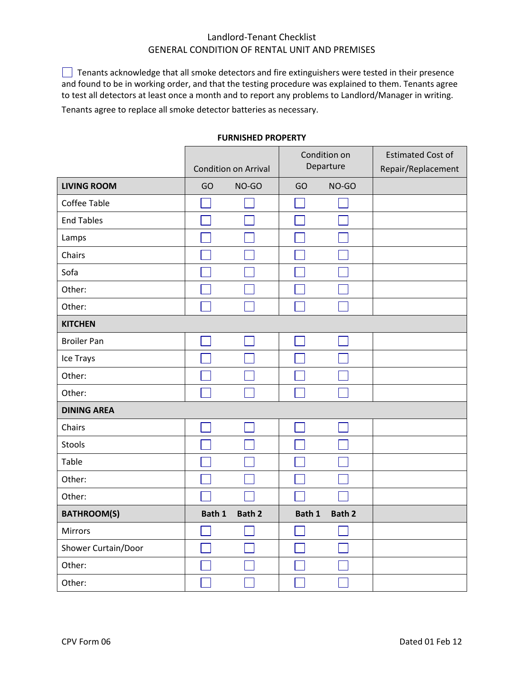$\Box$  Tenants acknowledge that all smoke detectors and fire extinguishers were tested in their presence and found to be in working order, and that the testing procedure was explained to them. Tenants agree to test all detectors at least once a month and to report any problems to Landlord/Manager in writing. Tenants agree to replace all smoke detector batteries as necessary.

Condition on Estimated Cost of Departure Condition on Arrival Repair/Replacement **LIVING ROOM** GO NO-GO GO NO-GO Coffee Table  $\overline{\phantom{a}}$  $\Box$ End Tables  $\Box$  $\Box$  $\Box$ Lamps  $\mathcal{L}_{\mathcal{A}}$ Chairs Sofa Other:  $\mathsf{L}$ Other:  $\Box$  $\Box$  $\Box$  $\mathbb{R}^n$ **KITCHEN** Broiler Pan  $\mathsf{L}$  $\vert \ \ \vert$  $\mathbf{I}$  $\Box$  $\Box$  $\Box$ Ice Trays  $\Box$ Other: H  $\vert \ \ \vert$  $\mathcal{L}$  $\Box$  $\Box$  $\Box$ Other:  $\mathsf{L}$ **DINING AREA** Chairs  $\Box$ Stools Table Other:  $\overline{\phantom{a}}$  $\Box$  $\Box$ 그 Other:  $\Box$  $\Box$  $\Box$  $\Box$ **BATHROOM(S) Bath 1 Bath 2** Bath 1 Bath 1 Bath 2 Mirrors M  $\Box$ Shower Curtain/Door  $\Box$  $\Box$  $\Box$ Other:  $\Box$  $\Box$ Other:  $\vert \ \ \vert$  $\mathbf{I}$ 

#### **FURNISHED PROPERTY**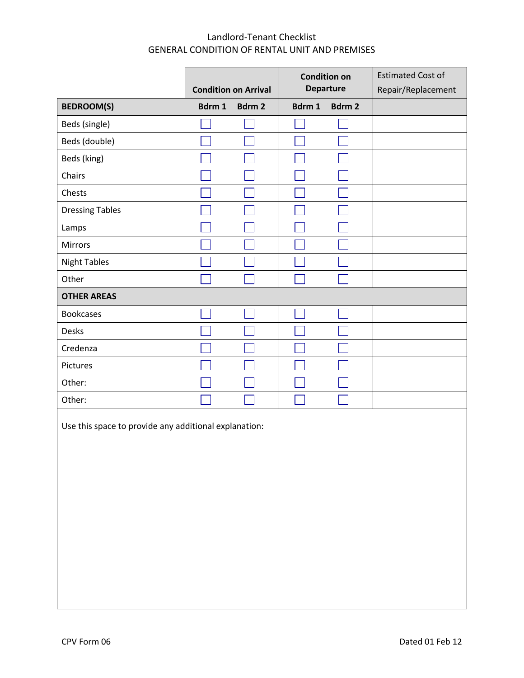|                        |        | <b>Condition on Arrival</b> | <b>Condition on</b><br><b>Departure</b> |        | <b>Estimated Cost of</b><br>Repair/Replacement |
|------------------------|--------|-----------------------------|-----------------------------------------|--------|------------------------------------------------|
| <b>BEDROOM(S)</b>      | Bdrm 1 | Bdrm 2                      | Bdrm 1                                  | Bdrm 2 |                                                |
| Beds (single)          |        |                             |                                         |        |                                                |
| Beds (double)          |        |                             |                                         |        |                                                |
| Beds (king)            |        |                             |                                         |        |                                                |
| Chairs                 |        |                             |                                         |        |                                                |
| Chests                 |        |                             |                                         |        |                                                |
| <b>Dressing Tables</b> |        |                             |                                         |        |                                                |
| Lamps                  |        |                             |                                         |        |                                                |
| Mirrors                |        |                             |                                         |        |                                                |
| <b>Night Tables</b>    |        |                             |                                         |        |                                                |
| Other                  |        |                             |                                         |        |                                                |
| <b>OTHER AREAS</b>     |        |                             |                                         |        |                                                |
| <b>Bookcases</b>       |        |                             |                                         |        |                                                |
| Desks                  |        |                             |                                         |        |                                                |
| Credenza               |        |                             |                                         |        |                                                |
| Pictures               |        |                             |                                         |        |                                                |
| Other:                 |        |                             |                                         |        |                                                |
| Other:                 |        |                             |                                         |        |                                                |

Use this space to provide any additional explanation: